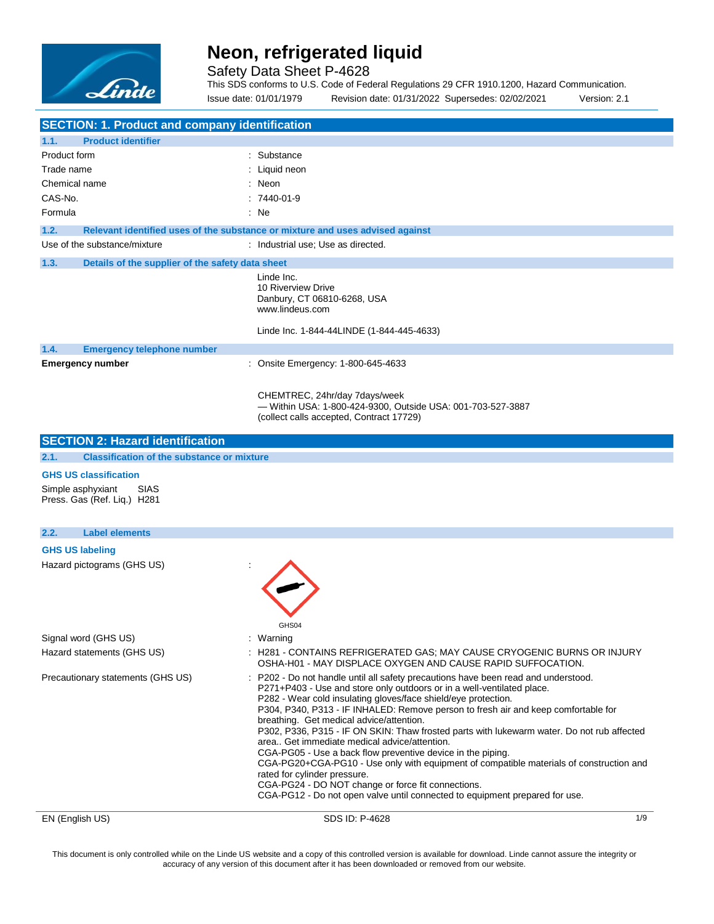

Safety Data Sheet P-4628

This SDS conforms to U.S. Code of Federal Regulations 29 CFR 1910.1200, Hazard Communication. Issue date: 01/01/1979 Revision date: 01/31/2022 Supersedes: 02/02/2021 Version: 2.1

| <b>SECTION: 1. Product and company identification</b>           |                                                                                                                                                                                                                                                                                                                                                                                                                                                                                                                                                                                                                                                                                                                                                                                                                                             |
|-----------------------------------------------------------------|---------------------------------------------------------------------------------------------------------------------------------------------------------------------------------------------------------------------------------------------------------------------------------------------------------------------------------------------------------------------------------------------------------------------------------------------------------------------------------------------------------------------------------------------------------------------------------------------------------------------------------------------------------------------------------------------------------------------------------------------------------------------------------------------------------------------------------------------|
| 1.1.<br><b>Product identifier</b>                               |                                                                                                                                                                                                                                                                                                                                                                                                                                                                                                                                                                                                                                                                                                                                                                                                                                             |
| Product form                                                    | : Substance                                                                                                                                                                                                                                                                                                                                                                                                                                                                                                                                                                                                                                                                                                                                                                                                                                 |
| Trade name                                                      | Liquid neon                                                                                                                                                                                                                                                                                                                                                                                                                                                                                                                                                                                                                                                                                                                                                                                                                                 |
| Chemical name                                                   | : Neon                                                                                                                                                                                                                                                                                                                                                                                                                                                                                                                                                                                                                                                                                                                                                                                                                                      |
| CAS-No.                                                         | $:7440-01-9$                                                                                                                                                                                                                                                                                                                                                                                                                                                                                                                                                                                                                                                                                                                                                                                                                                |
| Formula                                                         | : Ne                                                                                                                                                                                                                                                                                                                                                                                                                                                                                                                                                                                                                                                                                                                                                                                                                                        |
| 1.2.                                                            | Relevant identified uses of the substance or mixture and uses advised against                                                                                                                                                                                                                                                                                                                                                                                                                                                                                                                                                                                                                                                                                                                                                               |
| Use of the substance/mixture                                    | : Industrial use; Use as directed.                                                                                                                                                                                                                                                                                                                                                                                                                                                                                                                                                                                                                                                                                                                                                                                                          |
| 1.3.<br>Details of the supplier of the safety data sheet        |                                                                                                                                                                                                                                                                                                                                                                                                                                                                                                                                                                                                                                                                                                                                                                                                                                             |
|                                                                 | Linde Inc.<br>10 Riverview Drive<br>Danbury, CT 06810-6268, USA<br>www.lindeus.com                                                                                                                                                                                                                                                                                                                                                                                                                                                                                                                                                                                                                                                                                                                                                          |
|                                                                 | Linde Inc. 1-844-44LINDE (1-844-445-4633)                                                                                                                                                                                                                                                                                                                                                                                                                                                                                                                                                                                                                                                                                                                                                                                                   |
| 1.4.<br><b>Emergency telephone number</b>                       |                                                                                                                                                                                                                                                                                                                                                                                                                                                                                                                                                                                                                                                                                                                                                                                                                                             |
| <b>Emergency number</b>                                         | : Onsite Emergency: 1-800-645-4633                                                                                                                                                                                                                                                                                                                                                                                                                                                                                                                                                                                                                                                                                                                                                                                                          |
|                                                                 | CHEMTREC, 24hr/day 7days/week<br>- Within USA: 1-800-424-9300, Outside USA: 001-703-527-3887<br>(collect calls accepted, Contract 17729)                                                                                                                                                                                                                                                                                                                                                                                                                                                                                                                                                                                                                                                                                                    |
| <b>SECTION 2: Hazard identification</b>                         |                                                                                                                                                                                                                                                                                                                                                                                                                                                                                                                                                                                                                                                                                                                                                                                                                                             |
| 2.1.<br><b>Classification of the substance or mixture</b>       |                                                                                                                                                                                                                                                                                                                                                                                                                                                                                                                                                                                                                                                                                                                                                                                                                                             |
| <b>GHS US classification</b>                                    |                                                                                                                                                                                                                                                                                                                                                                                                                                                                                                                                                                                                                                                                                                                                                                                                                                             |
| <b>SIAS</b><br>Simple asphyxiant<br>Press. Gas (Ref. Liq.) H281 |                                                                                                                                                                                                                                                                                                                                                                                                                                                                                                                                                                                                                                                                                                                                                                                                                                             |
| <b>Label elements</b><br>2.2.                                   |                                                                                                                                                                                                                                                                                                                                                                                                                                                                                                                                                                                                                                                                                                                                                                                                                                             |
| <b>GHS US labeling</b>                                          |                                                                                                                                                                                                                                                                                                                                                                                                                                                                                                                                                                                                                                                                                                                                                                                                                                             |
| Hazard pictograms (GHS US)                                      | GHS04                                                                                                                                                                                                                                                                                                                                                                                                                                                                                                                                                                                                                                                                                                                                                                                                                                       |
| Signal word (GHS US)                                            | : Warning                                                                                                                                                                                                                                                                                                                                                                                                                                                                                                                                                                                                                                                                                                                                                                                                                                   |
| Hazard statements (GHS US)                                      | : H281 - CONTAINS REFRIGERATED GAS; MAY CAUSE CRYOGENIC BURNS OR INJURY<br>OSHA-H01 - MAY DISPLACE OXYGEN AND CAUSE RAPID SUFFOCATION.                                                                                                                                                                                                                                                                                                                                                                                                                                                                                                                                                                                                                                                                                                      |
| Precautionary statements (GHS US)                               | P202 - Do not handle until all safety precautions have been read and understood.<br>P271+P403 - Use and store only outdoors or in a well-ventilated place.<br>P282 - Wear cold insulating gloves/face shield/eye protection.<br>P304, P340, P313 - IF INHALED: Remove person to fresh air and keep comfortable for<br>breathing. Get medical advice/attention.<br>P302, P336, P315 - IF ON SKIN: Thaw frosted parts with lukewarm water. Do not rub affected<br>area Get immediate medical advice/attention.<br>CGA-PG05 - Use a back flow preventive device in the piping.<br>CGA-PG20+CGA-PG10 - Use only with equipment of compatible materials of construction and<br>rated for cylinder pressure.<br>CGA-PG24 - DO NOT change or force fit connections.<br>CGA-PG12 - Do not open valve until connected to equipment prepared for use. |
| EN (English US)                                                 | SDS ID: P-4628<br>1/9                                                                                                                                                                                                                                                                                                                                                                                                                                                                                                                                                                                                                                                                                                                                                                                                                       |

This document is only controlled while on the Linde US website and a copy of this controlled version is available for download. Linde cannot assure the integrity or accuracy of any version of this document after it has been downloaded or removed from our website.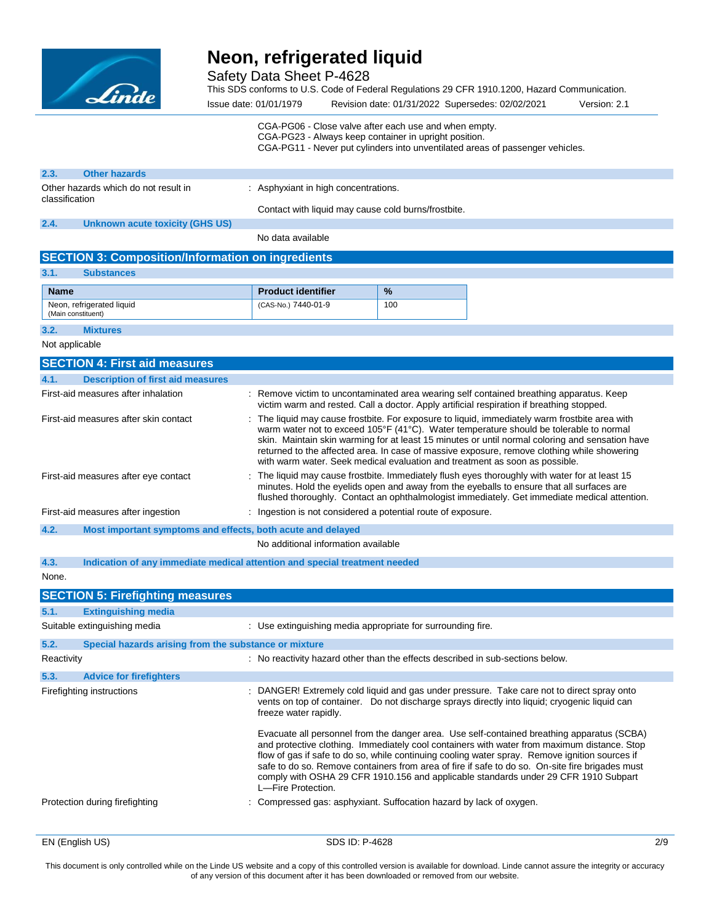

Safety Data Sheet P-4628

This SDS conforms to U.S. Code of Federal Regulations 29 CFR 1910.1200, Hazard Communication.

Issue date: 01/01/1979 Revision date: 01/31/2022 Supersedes: 02/02/2021 Version: 2.1 CGA-PG06 - Close valve after each use and when empty.

CGA-PG23 - Always keep container in upright position.

CGA-PG11 - Never put cylinders into unventilated areas of passenger vehicles.

| 2.3.                                                   | <b>Other hazards</b>                                     |                                                                             |     |                                                                                                                                                                                                                                                                                                                                                                                            |
|--------------------------------------------------------|----------------------------------------------------------|-----------------------------------------------------------------------------|-----|--------------------------------------------------------------------------------------------------------------------------------------------------------------------------------------------------------------------------------------------------------------------------------------------------------------------------------------------------------------------------------------------|
| Other hazards which do not result in<br>classification |                                                          | : Asphyxiant in high concentrations.                                        |     |                                                                                                                                                                                                                                                                                                                                                                                            |
|                                                        |                                                          | Contact with liquid may cause cold burns/frostbite.                         |     |                                                                                                                                                                                                                                                                                                                                                                                            |
| 2.4.                                                   | <b>Unknown acute toxicity (GHS US)</b>                   |                                                                             |     |                                                                                                                                                                                                                                                                                                                                                                                            |
|                                                        |                                                          | No data available                                                           |     |                                                                                                                                                                                                                                                                                                                                                                                            |
|                                                        | <b>SECTION 3: Composition/Information on ingredients</b> |                                                                             |     |                                                                                                                                                                                                                                                                                                                                                                                            |
| 3.1.                                                   | <b>Substances</b>                                        |                                                                             |     |                                                                                                                                                                                                                                                                                                                                                                                            |
| <b>Name</b>                                            |                                                          | <b>Product identifier</b>                                                   | %   |                                                                                                                                                                                                                                                                                                                                                                                            |
| (Main constituent)                                     | Neon, refrigerated liquid                                | (CAS-No.) 7440-01-9                                                         | 100 |                                                                                                                                                                                                                                                                                                                                                                                            |
| 3.2.                                                   | <b>Mixtures</b>                                          |                                                                             |     |                                                                                                                                                                                                                                                                                                                                                                                            |
| Not applicable                                         |                                                          |                                                                             |     |                                                                                                                                                                                                                                                                                                                                                                                            |
|                                                        | <b>SECTION 4: First aid measures</b>                     |                                                                             |     |                                                                                                                                                                                                                                                                                                                                                                                            |
| 4.1.                                                   | <b>Description of first aid measures</b>                 |                                                                             |     |                                                                                                                                                                                                                                                                                                                                                                                            |
|                                                        | First-aid measures after inhalation                      |                                                                             |     | : Remove victim to uncontaminated area wearing self contained breathing apparatus. Keep<br>victim warm and rested. Call a doctor. Apply artificial respiration if breathing stopped.                                                                                                                                                                                                       |
|                                                        | First-aid measures after skin contact                    | with warm water. Seek medical evaluation and treatment as soon as possible. |     | : The liquid may cause frostbite. For exposure to liquid, immediately warm frostbite area with<br>warm water not to exceed 105°F (41°C). Water temperature should be tolerable to normal<br>skin. Maintain skin warming for at least 15 minutes or until normal coloring and sensation have<br>returned to the affected area. In case of massive exposure, remove clothing while showering |
|                                                        | First-aid measures after eye contact                     |                                                                             |     | . The liquid may cause frostbite. Immediately flush eyes thoroughly with water for at least 15<br>minutes. Hold the eyelids open and away from the eyeballs to ensure that all surfaces are                                                                                                                                                                                                |

flushed thoroughly. Contact an ophthalmologist immediately. Get immediate medical attention.

First-aid measures after ingestion : Ingestion is not considered a potential route of exposure.

**4.2. Most important symptoms and effects, both acute and delayed**

No additional information available

**4.3. Indication of any immediate medical attention and special treatment needed**

None.

|            | <b>SECTION 5: Firefighting measures</b>               |                                                                                                                                                                                                                                                                                                                                                                                                                   |
|------------|-------------------------------------------------------|-------------------------------------------------------------------------------------------------------------------------------------------------------------------------------------------------------------------------------------------------------------------------------------------------------------------------------------------------------------------------------------------------------------------|
| 5.1.       | <b>Extinguishing media</b>                            |                                                                                                                                                                                                                                                                                                                                                                                                                   |
|            | Suitable extinguishing media                          | : Use extinguishing media appropriate for surrounding fire.                                                                                                                                                                                                                                                                                                                                                       |
| 5.2.       | Special hazards arising from the substance or mixture |                                                                                                                                                                                                                                                                                                                                                                                                                   |
| Reactivity |                                                       | : No reactivity hazard other than the effects described in sub-sections below.                                                                                                                                                                                                                                                                                                                                    |
| 5.3.       | <b>Advice for firefighters</b>                        |                                                                                                                                                                                                                                                                                                                                                                                                                   |
|            | Firefighting instructions                             | : DANGER! Extremely cold liquid and gas under pressure. Take care not to direct spray onto<br>vents on top of container. Do not discharge sprays directly into liquid; cryogenic liquid can<br>freeze water rapidly.<br>Evacuate all personnel from the danger area. Use self-contained breathing apparatus (SCBA)<br>and protective clothing. Immediately cool containers with water from maximum distance. Stop |
|            |                                                       | flow of gas if safe to do so, while continuing cooling water spray. Remove ignition sources if<br>safe to do so. Remove containers from area of fire if safe to do so. On-site fire brigades must<br>comply with OSHA 29 CFR 1910.156 and applicable standards under 29 CFR 1910 Subpart<br>L-Fire Protection.                                                                                                    |
|            | Protection during firefighting                        | : Compressed gas: asphyxiant. Suffocation hazard by lack of oxygen.                                                                                                                                                                                                                                                                                                                                               |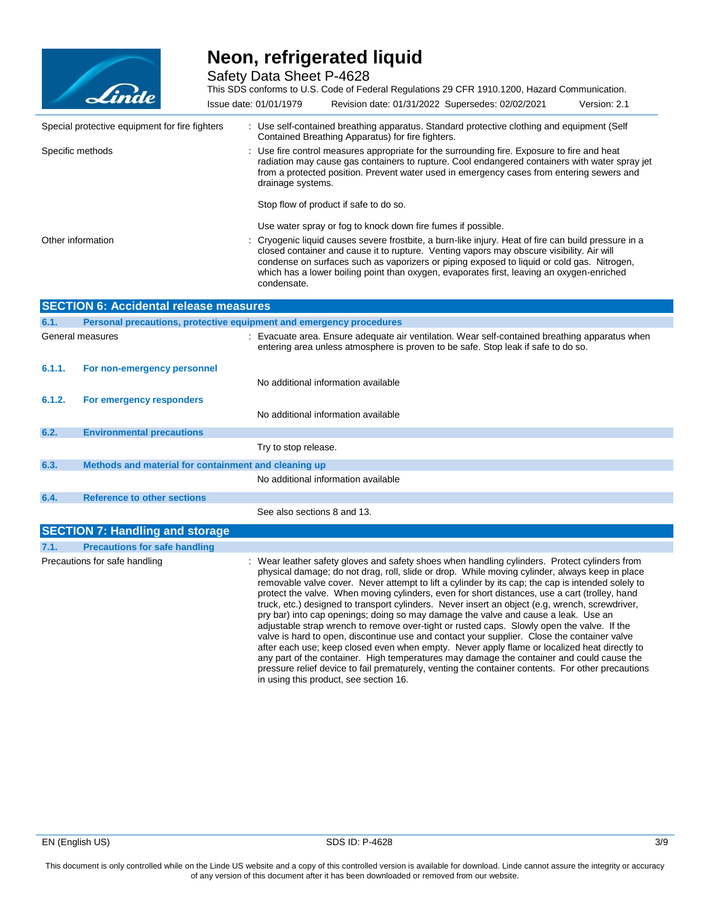

Safety Data Sheet P-4628

This SDS conforms to U.S. Code of Federal Regulations 29 CFR 1910.1200, Hazard Communication.

|        | <u>an an c</u>                                                      | Issue date: 01/01/1979      | Revision date: 01/31/2022 Supersedes: 02/02/2021                                                                                                                                                                                                                                                                                                                                                                                                                                                                                                                                                                                                                                                                                                                                                                                                                                                                                                                                                                                                                                              | Version: 2.1 |
|--------|---------------------------------------------------------------------|-----------------------------|-----------------------------------------------------------------------------------------------------------------------------------------------------------------------------------------------------------------------------------------------------------------------------------------------------------------------------------------------------------------------------------------------------------------------------------------------------------------------------------------------------------------------------------------------------------------------------------------------------------------------------------------------------------------------------------------------------------------------------------------------------------------------------------------------------------------------------------------------------------------------------------------------------------------------------------------------------------------------------------------------------------------------------------------------------------------------------------------------|--------------|
|        | Special protective equipment for fire fighters                      |                             | : Use self-contained breathing apparatus. Standard protective clothing and equipment (Self<br>Contained Breathing Apparatus) for fire fighters.                                                                                                                                                                                                                                                                                                                                                                                                                                                                                                                                                                                                                                                                                                                                                                                                                                                                                                                                               |              |
|        | Specific methods                                                    | drainage systems.           | : Use fire control measures appropriate for the surrounding fire. Exposure to fire and heat<br>radiation may cause gas containers to rupture. Cool endangered containers with water spray jet<br>from a protected position. Prevent water used in emergency cases from entering sewers and                                                                                                                                                                                                                                                                                                                                                                                                                                                                                                                                                                                                                                                                                                                                                                                                    |              |
|        |                                                                     |                             | Stop flow of product if safe to do so.                                                                                                                                                                                                                                                                                                                                                                                                                                                                                                                                                                                                                                                                                                                                                                                                                                                                                                                                                                                                                                                        |              |
|        |                                                                     |                             | Use water spray or fog to knock down fire fumes if possible.                                                                                                                                                                                                                                                                                                                                                                                                                                                                                                                                                                                                                                                                                                                                                                                                                                                                                                                                                                                                                                  |              |
|        | Other information                                                   | condensate.                 | : Cryogenic liquid causes severe frostbite, a burn-like injury. Heat of fire can build pressure in a<br>closed container and cause it to rupture. Venting vapors may obscure visibility. Air will<br>condense on surfaces such as vaporizers or piping exposed to liquid or cold gas. Nitrogen,<br>which has a lower boiling point than oxygen, evaporates first, leaving an oxygen-enriched                                                                                                                                                                                                                                                                                                                                                                                                                                                                                                                                                                                                                                                                                                  |              |
|        | <b>SECTION 6: Accidental release measures</b>                       |                             |                                                                                                                                                                                                                                                                                                                                                                                                                                                                                                                                                                                                                                                                                                                                                                                                                                                                                                                                                                                                                                                                                               |              |
| 6.1.   | Personal precautions, protective equipment and emergency procedures |                             |                                                                                                                                                                                                                                                                                                                                                                                                                                                                                                                                                                                                                                                                                                                                                                                                                                                                                                                                                                                                                                                                                               |              |
|        | General measures                                                    |                             | : Evacuate area. Ensure adequate air ventilation. Wear self-contained breathing apparatus when<br>entering area unless atmosphere is proven to be safe. Stop leak if safe to do so.                                                                                                                                                                                                                                                                                                                                                                                                                                                                                                                                                                                                                                                                                                                                                                                                                                                                                                           |              |
| 6.1.1. | For non-emergency personnel                                         |                             |                                                                                                                                                                                                                                                                                                                                                                                                                                                                                                                                                                                                                                                                                                                                                                                                                                                                                                                                                                                                                                                                                               |              |
|        |                                                                     |                             | No additional information available                                                                                                                                                                                                                                                                                                                                                                                                                                                                                                                                                                                                                                                                                                                                                                                                                                                                                                                                                                                                                                                           |              |
| 6.1.2. | For emergency responders                                            |                             |                                                                                                                                                                                                                                                                                                                                                                                                                                                                                                                                                                                                                                                                                                                                                                                                                                                                                                                                                                                                                                                                                               |              |
|        |                                                                     |                             | No additional information available                                                                                                                                                                                                                                                                                                                                                                                                                                                                                                                                                                                                                                                                                                                                                                                                                                                                                                                                                                                                                                                           |              |
| 6.2.   | <b>Environmental precautions</b>                                    |                             |                                                                                                                                                                                                                                                                                                                                                                                                                                                                                                                                                                                                                                                                                                                                                                                                                                                                                                                                                                                                                                                                                               |              |
|        |                                                                     | Try to stop release.        |                                                                                                                                                                                                                                                                                                                                                                                                                                                                                                                                                                                                                                                                                                                                                                                                                                                                                                                                                                                                                                                                                               |              |
| 6.3.   | Methods and material for containment and cleaning up                |                             |                                                                                                                                                                                                                                                                                                                                                                                                                                                                                                                                                                                                                                                                                                                                                                                                                                                                                                                                                                                                                                                                                               |              |
|        |                                                                     |                             | No additional information available                                                                                                                                                                                                                                                                                                                                                                                                                                                                                                                                                                                                                                                                                                                                                                                                                                                                                                                                                                                                                                                           |              |
| 6.4.   | <b>Reference to other sections</b>                                  |                             |                                                                                                                                                                                                                                                                                                                                                                                                                                                                                                                                                                                                                                                                                                                                                                                                                                                                                                                                                                                                                                                                                               |              |
|        |                                                                     | See also sections 8 and 13. |                                                                                                                                                                                                                                                                                                                                                                                                                                                                                                                                                                                                                                                                                                                                                                                                                                                                                                                                                                                                                                                                                               |              |
|        | <b>SECTION 7: Handling and storage</b>                              |                             |                                                                                                                                                                                                                                                                                                                                                                                                                                                                                                                                                                                                                                                                                                                                                                                                                                                                                                                                                                                                                                                                                               |              |
| 7.1.   | <b>Precautions for safe handling</b>                                |                             |                                                                                                                                                                                                                                                                                                                                                                                                                                                                                                                                                                                                                                                                                                                                                                                                                                                                                                                                                                                                                                                                                               |              |
|        | Precautions for safe handling                                       |                             | : Wear leather safety gloves and safety shoes when handling cylinders. Protect cylinders from<br>physical damage; do not drag, roll, slide or drop. While moving cylinder, always keep in place<br>removable valve cover. Never attempt to lift a cylinder by its cap; the cap is intended solely to<br>protect the valve. When moving cylinders, even for short distances, use a cart (trolley, hand<br>truck, etc.) designed to transport cylinders. Never insert an object (e.g. wrench, screwdriver,<br>pry bar) into cap openings; doing so may damage the valve and cause a leak. Use an<br>adjustable strap wrench to remove over-tight or rusted caps. Slowly open the valve. If the<br>valve is hard to open, discontinue use and contact your supplier. Close the container valve<br>after each use; keep closed even when empty. Never apply flame or localized heat directly to<br>any part of the container. High temperatures may damage the container and could cause the<br>pressure relief device to fail prematurely, venting the container contents. For other precautions |              |

in using this product, see section 16.

This document is only controlled while on the Linde US website and a copy of this controlled version is available for download. Linde cannot assure the integrity or accuracy of any version of this document after it has been downloaded or removed from our website.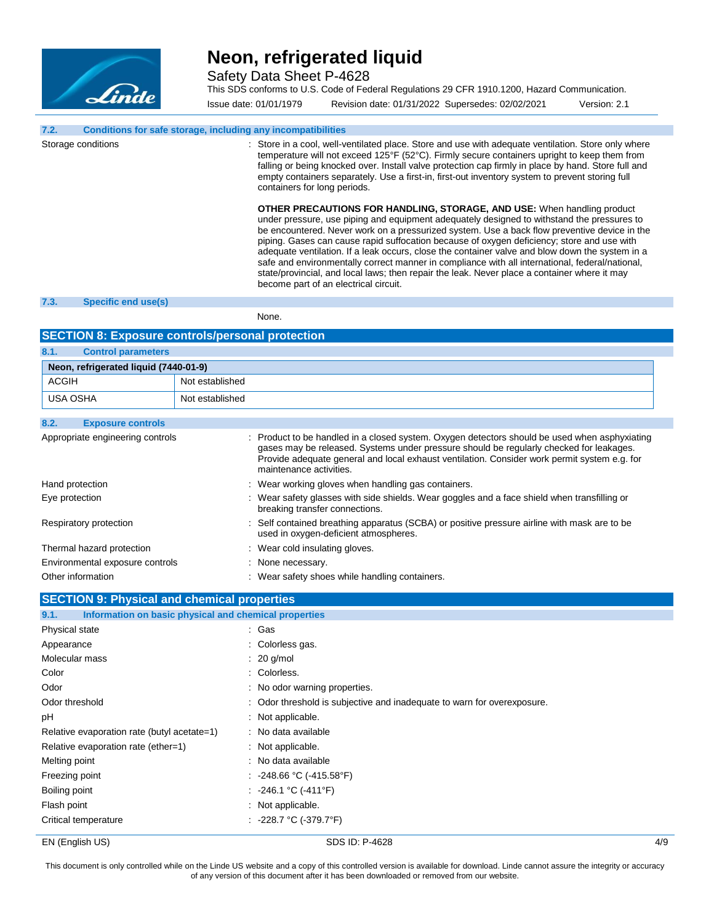

Safety Data Sheet P-4628

This SDS conforms to U.S. Code of Federal Regulations 29 CFR 1910.1200, Hazard Communication.

Issue date: 01/01/1979 Revision date: 01/31/2022 Supersedes: 02/02/2021 Version: 2.1

### **7.2. Conditions for safe storage, including any incompatibilities**

Storage conditions **Store in a cool, well-ventilated place.** Store and use with adequate ventilation. Store only where temperature will not exceed 125°F (52°C). Firmly secure containers upright to keep them from falling or being knocked over. Install valve protection cap firmly in place by hand. Store full and empty containers separately. Use a first-in, first-out inventory system to prevent storing full containers for long periods. **OTHER PRECAUTIONS FOR HANDLING, STORAGE, AND USE:** When handling product

under pressure, use piping and equipment adequately designed to withstand the pressures to be encountered. Never work on a pressurized system. Use a back flow preventive device in the piping. Gases can cause rapid suffocation because of oxygen deficiency; store and use with adequate ventilation. If a leak occurs, close the container valve and blow down the system in a safe and environmentally correct manner in compliance with all international, federal/national, state/provincial, and local laws; then repair the leak. Never place a container where it may become part of an electrical circuit.

### **7.3. Specific end use(s)**

None.

#### **SECTION 8: Exposure controls/personal protection**

| 8.1.         | <b>Control parameters</b>             |                 |
|--------------|---------------------------------------|-----------------|
|              | Neon, refrigerated liquid (7440-01-9) |                 |
| <b>ACGIH</b> |                                       | Not established |
| USA OSHA     |                                       | Not established |

| 8.2. | <b>Exposure controls</b>         |                                                                                                                                                                                                                                                                                                                     |
|------|----------------------------------|---------------------------------------------------------------------------------------------------------------------------------------------------------------------------------------------------------------------------------------------------------------------------------------------------------------------|
|      | Appropriate engineering controls | : Product to be handled in a closed system. Oxygen detectors should be used when asphyxiating<br>gases may be released. Systems under pressure should be regularly checked for leakages.<br>Provide adequate general and local exhaust ventilation. Consider work permit system e.g. for<br>maintenance activities. |
|      | Hand protection                  | : Wear working gloves when handling gas containers.                                                                                                                                                                                                                                                                 |
|      | Eye protection                   | : Wear safety glasses with side shields. Wear goggles and a face shield when transfilling or<br>breaking transfer connections.                                                                                                                                                                                      |
|      | Respiratory protection           | : Self contained breathing apparatus (SCBA) or positive pressure airline with mask are to be<br>used in oxygen-deficient atmospheres.                                                                                                                                                                               |
|      | Thermal hazard protection        | : Wear cold insulating gloves.                                                                                                                                                                                                                                                                                      |
|      | Environmental exposure controls  | : None necessary.                                                                                                                                                                                                                                                                                                   |
|      | Other information                | : Wear safety shoes while handling containers.                                                                                                                                                                                                                                                                      |

#### **SECTION 9: Physical and chemical properties**

| Information on basic physical and chemical properties<br>9.1. |                                                                         |     |
|---------------------------------------------------------------|-------------------------------------------------------------------------|-----|
| Physical state                                                | : Gas                                                                   |     |
| Appearance                                                    | : Colorless gas.                                                        |     |
| Molecular mass                                                | $: 20$ g/mol                                                            |     |
| Color                                                         | : Colorless.                                                            |     |
| Odor                                                          | : No odor warning properties.                                           |     |
| Odor threshold                                                | : Odor threshold is subjective and inadequate to warn for overexposure. |     |
| рH                                                            | : Not applicable.                                                       |     |
| Relative evaporation rate (butyl acetate=1)                   | : No data available                                                     |     |
| Relative evaporation rate (ether=1)                           | : Not applicable.                                                       |     |
| Melting point                                                 | : No data available                                                     |     |
| Freezing point                                                | : -248.66 °C (-415.58°F)                                                |     |
| Boiling point                                                 | : -246.1 °C (-411°F)                                                    |     |
| Flash point                                                   | : Not applicable.                                                       |     |
| Critical temperature                                          | : -228.7 ℃ (-379.7°F)                                                   |     |
| EN (English US)                                               | SDS ID: P-4628                                                          | 4/9 |

This document is only controlled while on the Linde US website and a copy of this controlled version is available for download. Linde cannot assure the integrity or accuracy of any version of this document after it has been downloaded or removed from our website.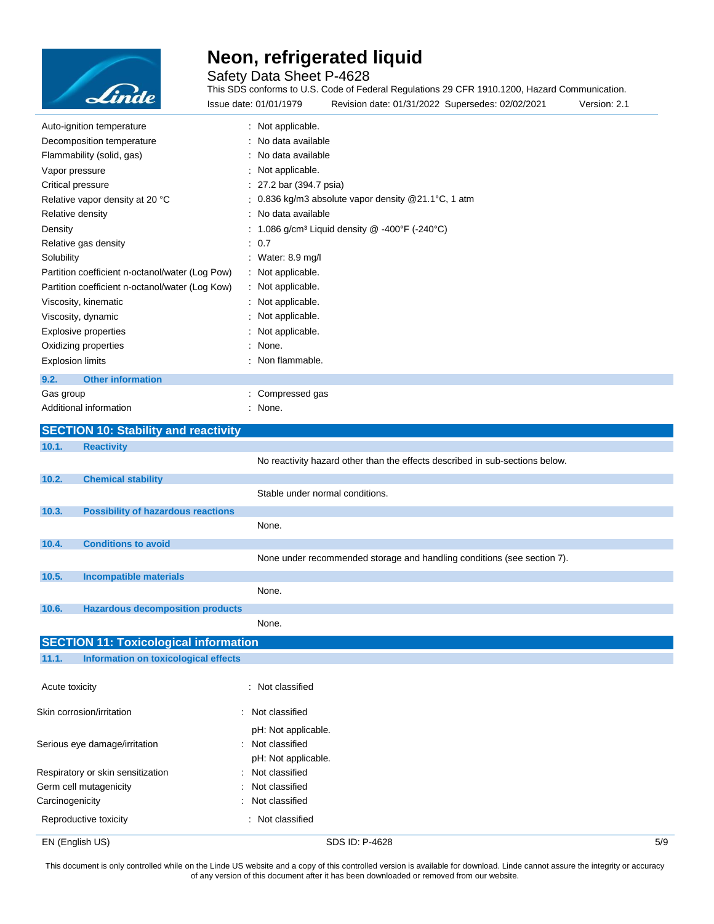

Safety Data Sheet P-4628

This SDS conforms to U.S. Code of Federal Regulations 29 CFR 1910.1200, Hazard Communication. Issue date: 01/01/1979 Revision date: 01/31/2022 Supersedes: 02/02/2021 Version: 2.1

|                         | Auto-ignition temperature                                                                   | : Not applicable.                                                            |
|-------------------------|---------------------------------------------------------------------------------------------|------------------------------------------------------------------------------|
|                         | Decomposition temperature                                                                   | No data available                                                            |
|                         | Flammability (solid, gas)                                                                   | No data available                                                            |
| Vapor pressure          |                                                                                             | Not applicable.                                                              |
| Critical pressure       |                                                                                             | : 27.2 bar (394.7 psia)                                                      |
|                         | Relative vapor density at 20 °C                                                             | : 0.836 kg/m3 absolute vapor density @21.1°C, 1 atm                          |
| Relative density        |                                                                                             | : No data available                                                          |
| Density                 |                                                                                             | : 1.086 g/cm <sup>3</sup> Liquid density $@ -400^{\circ}F (-240^{\circ}C)$   |
|                         | Relative gas density                                                                        | : 0.7                                                                        |
| Solubility              |                                                                                             | : Water: 8.9 mg/l                                                            |
|                         | Partition coefficient n-octanol/water (Log Pow)                                             | : Not applicable.                                                            |
|                         | Partition coefficient n-octanol/water (Log Kow)                                             | : Not applicable.                                                            |
|                         | Viscosity, kinematic                                                                        | : Not applicable.                                                            |
|                         | Viscosity, dynamic                                                                          | Not applicable.                                                              |
|                         | <b>Explosive properties</b>                                                                 | Not applicable.                                                              |
|                         | Oxidizing properties                                                                        | None.                                                                        |
| <b>Explosion limits</b> |                                                                                             | : Non flammable.                                                             |
| 9.2.                    | <b>Other information</b>                                                                    |                                                                              |
| Gas group               |                                                                                             | : Compressed gas                                                             |
|                         | Additional information                                                                      | None.                                                                        |
|                         | <b>SECTION 10: Stability and reactivity</b>                                                 |                                                                              |
|                         |                                                                                             |                                                                              |
| 10.1.                   | <b>Reactivity</b>                                                                           |                                                                              |
|                         |                                                                                             | No reactivity hazard other than the effects described in sub-sections below. |
| 10.2.                   |                                                                                             |                                                                              |
|                         | <b>Chemical stability</b>                                                                   | Stable under normal conditions.                                              |
|                         |                                                                                             |                                                                              |
| 10.3.                   | <b>Possibility of hazardous reactions</b>                                                   |                                                                              |
|                         |                                                                                             | None.                                                                        |
| 10.4.                   | <b>Conditions to avoid</b>                                                                  |                                                                              |
|                         |                                                                                             | None under recommended storage and handling conditions (see section 7).      |
| 10.5.                   | <b>Incompatible materials</b>                                                               |                                                                              |
|                         |                                                                                             | None.                                                                        |
| 10.6.                   | <b>Hazardous decomposition products</b>                                                     |                                                                              |
|                         |                                                                                             | None.                                                                        |
|                         |                                                                                             |                                                                              |
| 11.1.                   | <b>SECTION 11: Toxicological information</b><br><b>Information on toxicological effects</b> |                                                                              |
|                         |                                                                                             |                                                                              |
| Acute toxicity          |                                                                                             | : Not classified                                                             |
|                         |                                                                                             |                                                                              |
|                         | Skin corrosion/irritation                                                                   | : Not classified                                                             |
|                         | Serious eye damage/irritation                                                               | pH: Not applicable.<br>: Not classified                                      |

pH: Not applicable. Respiratory or skin sensitization : Not classified Germ cell mutagenicity **South Contract Contract Contract Contract Contract Contract Contract Contract Contract Contract Contract Contract Contract Contract Contract Contract Contract Contract Contract Contract Contract Con** Carcinogenicity **Carcinogenicity** : Not classified Reproductive toxicity **in the contract of the CRS** in Not classified

EN (English US) 5/9

This document is only controlled while on the Linde US website and a copy of this controlled version is available for download. Linde cannot assure the integrity or accuracy of any version of this document after it has been downloaded or removed from our website.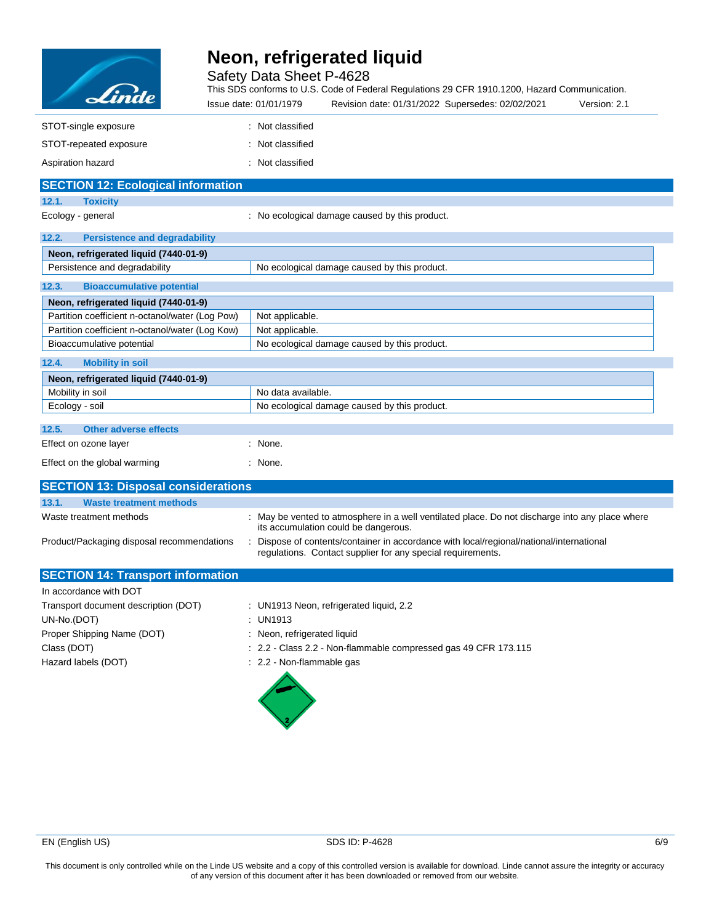| Linde |
|-------|

Safety Data Sheet P-4628

This SDS conforms to U.S. Code of Federal Regulations 29 CFR 1910.1200, Hazard Communication.

| <u> Lindan </u>                                 | Issue date: 01/01/1979<br>Revision date: 01/31/2022 Supersedes: 02/02/2021<br>Version: 2.1                                                            |
|-------------------------------------------------|-------------------------------------------------------------------------------------------------------------------------------------------------------|
| STOT-single exposure                            | : Not classified                                                                                                                                      |
| STOT-repeated exposure                          | : Not classified                                                                                                                                      |
| Aspiration hazard                               | : Not classified                                                                                                                                      |
| <b>SECTION 12: Ecological information</b>       |                                                                                                                                                       |
| 12.1.<br><b>Toxicity</b>                        |                                                                                                                                                       |
| Ecology - general                               | : No ecological damage caused by this product.                                                                                                        |
| 12.2.<br><b>Persistence and degradability</b>   |                                                                                                                                                       |
| Neon, refrigerated liquid (7440-01-9)           |                                                                                                                                                       |
| Persistence and degradability                   | No ecological damage caused by this product.                                                                                                          |
| 12.3.<br><b>Bioaccumulative potential</b>       |                                                                                                                                                       |
| Neon, refrigerated liquid (7440-01-9)           |                                                                                                                                                       |
| Partition coefficient n-octanol/water (Log Pow) | Not applicable.                                                                                                                                       |
| Partition coefficient n-octanol/water (Log Kow) | Not applicable.                                                                                                                                       |
| Bioaccumulative potential                       | No ecological damage caused by this product.                                                                                                          |
| 12.4.<br><b>Mobility in soil</b>                |                                                                                                                                                       |
| Neon, refrigerated liquid (7440-01-9)           |                                                                                                                                                       |
| Mobility in soil                                | No data available.                                                                                                                                    |
| Ecology - soil                                  | No ecological damage caused by this product.                                                                                                          |
| 12.5.<br><b>Other adverse effects</b>           |                                                                                                                                                       |
| Effect on ozone layer                           | : None.                                                                                                                                               |
| Effect on the global warming                    | : None.                                                                                                                                               |
| <b>SECTION 13: Disposal considerations</b>      |                                                                                                                                                       |
| 13.1.<br><b>Waste treatment methods</b>         |                                                                                                                                                       |
| Waste treatment methods                         | : May be vented to atmosphere in a well ventilated place. Do not discharge into any place where<br>its accumulation could be dangerous.               |
| Product/Packaging disposal recommendations      | Dispose of contents/container in accordance with local/regional/national/international<br>regulations. Contact supplier for any special requirements. |
| <b>SECTION 14: Transport information</b>        |                                                                                                                                                       |
| In accordance with DOT                          |                                                                                                                                                       |
| Transport document description (DOT)            | : UN1913 Neon, refrigerated liquid, 2.2                                                                                                               |
| UN-No.(DOT)                                     | : UN1913                                                                                                                                              |
| Proper Shipping Name (DOT)                      | : Neon, refrigerated liquid                                                                                                                           |
| Class (DOT)                                     | : 2.2 - Class 2.2 - Non-flammable compressed gas 49 CFR 173.115                                                                                       |

Hazard labels (DOT)  $\qquad \qquad$  : 2.2 - Non-flammable gas

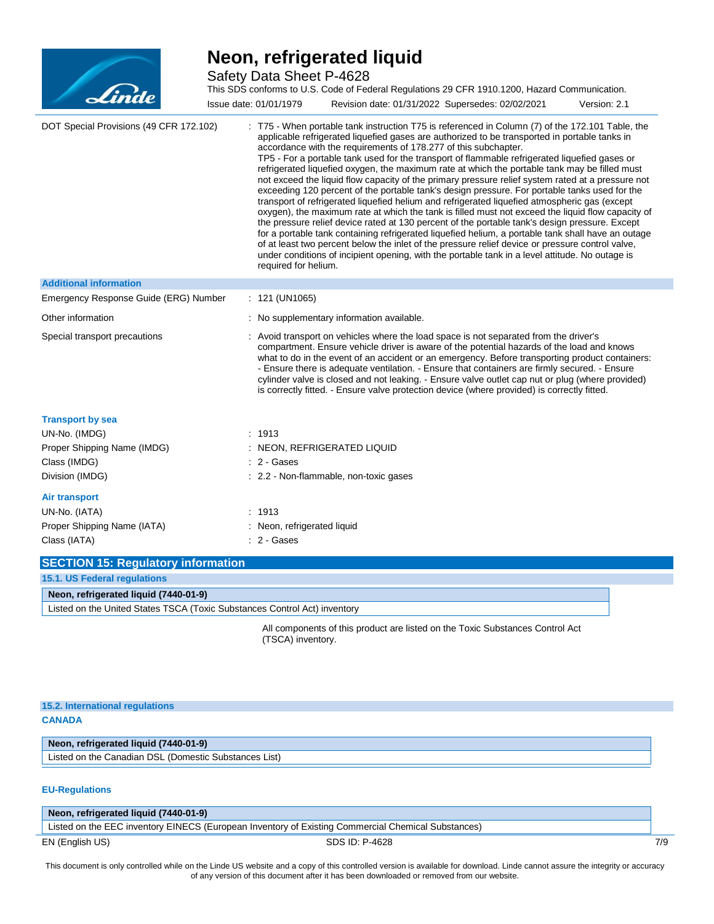

Safety Data Sheet P-4628

| Linde                                                                                | Safety Data Sheet P-4628<br>This SDS conforms to U.S. Code of Federal Regulations 29 CFR 1910.1200, Hazard Communication.<br>Issue date: 01/01/1979<br>Revision date: 01/31/2022 Supersedes: 02/02/2021<br>Version: 2.1                                                                                                                                                                                                                                                                                                                                                                                                                                                                                                                                                                                                                                                                                                                                                                                                                                                                                                                                                                                                                                                                                                   |
|--------------------------------------------------------------------------------------|---------------------------------------------------------------------------------------------------------------------------------------------------------------------------------------------------------------------------------------------------------------------------------------------------------------------------------------------------------------------------------------------------------------------------------------------------------------------------------------------------------------------------------------------------------------------------------------------------------------------------------------------------------------------------------------------------------------------------------------------------------------------------------------------------------------------------------------------------------------------------------------------------------------------------------------------------------------------------------------------------------------------------------------------------------------------------------------------------------------------------------------------------------------------------------------------------------------------------------------------------------------------------------------------------------------------------|
| DOT Special Provisions (49 CFR 172.102)                                              | : T75 - When portable tank instruction T75 is referenced in Column (7) of the 172.101 Table, the<br>applicable refrigerated liquefied gases are authorized to be transported in portable tanks in<br>accordance with the requirements of 178.277 of this subchapter.<br>TP5 - For a portable tank used for the transport of flammable refrigerated liquefied gases or<br>refrigerated liquefied oxygen, the maximum rate at which the portable tank may be filled must<br>not exceed the liquid flow capacity of the primary pressure relief system rated at a pressure not<br>exceeding 120 percent of the portable tank's design pressure. For portable tanks used for the<br>transport of refrigerated liquefied helium and refrigerated liquefied atmospheric gas (except<br>oxygen), the maximum rate at which the tank is filled must not exceed the liquid flow capacity of<br>the pressure relief device rated at 130 percent of the portable tank's design pressure. Except<br>for a portable tank containing refrigerated liquefied helium, a portable tank shall have an outage<br>of at least two percent below the inlet of the pressure relief device or pressure control valve,<br>under conditions of incipient opening, with the portable tank in a level attitude. No outage is<br>required for helium. |
| <b>Additional information</b>                                                        |                                                                                                                                                                                                                                                                                                                                                                                                                                                                                                                                                                                                                                                                                                                                                                                                                                                                                                                                                                                                                                                                                                                                                                                                                                                                                                                           |
| Emergency Response Guide (ERG) Number                                                | : 121 (UN1065)                                                                                                                                                                                                                                                                                                                                                                                                                                                                                                                                                                                                                                                                                                                                                                                                                                                                                                                                                                                                                                                                                                                                                                                                                                                                                                            |
| Other information                                                                    | : No supplementary information available.                                                                                                                                                                                                                                                                                                                                                                                                                                                                                                                                                                                                                                                                                                                                                                                                                                                                                                                                                                                                                                                                                                                                                                                                                                                                                 |
| Special transport precautions                                                        | : Avoid transport on vehicles where the load space is not separated from the driver's<br>compartment. Ensure vehicle driver is aware of the potential hazards of the load and knows<br>what to do in the event of an accident or an emergency. Before transporting product containers:<br>- Ensure there is adequate ventilation. - Ensure that containers are firmly secured. - Ensure<br>cylinder valve is closed and not leaking. - Ensure valve outlet cap nut or plug (where provided)<br>is correctly fitted. - Ensure valve protection device (where provided) is correctly fitted.                                                                                                                                                                                                                                                                                                                                                                                                                                                                                                                                                                                                                                                                                                                                |
| <b>Transport by sea</b>                                                              |                                                                                                                                                                                                                                                                                                                                                                                                                                                                                                                                                                                                                                                                                                                                                                                                                                                                                                                                                                                                                                                                                                                                                                                                                                                                                                                           |
| UN-No. (IMDG)<br>Proper Shipping Name (IMDG)<br>Class (IMDG)<br>Division (IMDG)      | : 1913<br>: NEON, REFRIGERATED LIQUID<br>: 2 - Gases<br>: 2.2 - Non-flammable, non-toxic gases                                                                                                                                                                                                                                                                                                                                                                                                                                                                                                                                                                                                                                                                                                                                                                                                                                                                                                                                                                                                                                                                                                                                                                                                                            |
| <b>Air transport</b><br>UN-No. (IATA)<br>Proper Shipping Name (IATA)<br>Class (IATA) | : 1913<br>: Neon, refrigerated liquid<br>$: 2 - \text{Gases}$                                                                                                                                                                                                                                                                                                                                                                                                                                                                                                                                                                                                                                                                                                                                                                                                                                                                                                                                                                                                                                                                                                                                                                                                                                                             |

| <b>SECTION 15: Regulatory information</b>                                 |  |
|---------------------------------------------------------------------------|--|
| 15.1. US Federal regulations                                              |  |
| Neon, refrigerated liquid (7440-01-9)                                     |  |
| Listed on the United States TSCA (Toxic Substances Control Act) inventory |  |
|                                                                           |  |

All components of this product are listed on the Toxic Substances Control Act (TSCA) inventory.

### **15.2. International regulations CANADA**

### **Neon, refrigerated liquid (7440-01-9)**

Listed on the Canadian DSL (Domestic Substances List)

#### **EU-Regulations**

EN (English US) 8DS ID: P-4628 7/9 **Neon, refrigerated liquid (7440-01-9)** Listed on the EEC inventory EINECS (European Inventory of Existing Commercial Chemical Substances)

This document is only controlled while on the Linde US website and a copy of this controlled version is available for download. Linde cannot assure the integrity or accuracy of any version of this document after it has been downloaded or removed from our website.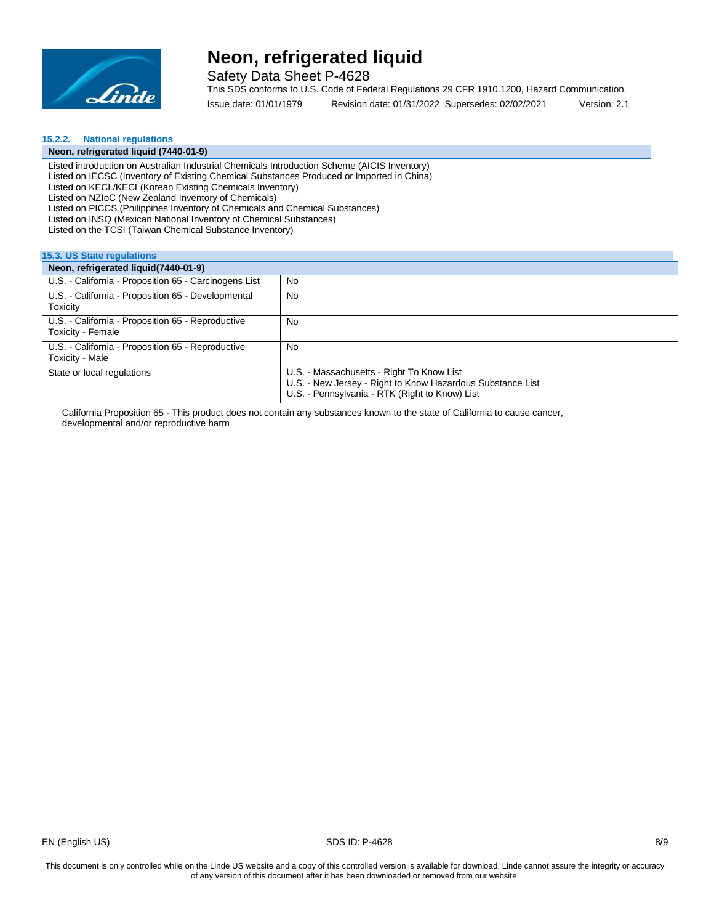

Safety Data Sheet P-4628

This SDS conforms to U.S. Code of Federal Regulations 29 CFR 1910.1200, Hazard Communication.

Issue date: 01/01/1979 Revision date: 01/31/2022 Supersedes: 02/02/2021 Version: 2.1

### **15.2.2. National regulations**

| Neon, refrigerated liquid (7440-01-9)                                                        |
|----------------------------------------------------------------------------------------------|
| Listed introduction on Australian Industrial Chemicals Introduction Scheme (AICIS Inventory) |
| Listed on IECSC (Inventory of Existing Chemical Substances Produced or Imported in China)    |
| Listed on KECL/KECI (Korean Existing Chemicals Inventory)                                    |
| Listed on NZIoC (New Zealand Inventory of Chemicals)                                         |
| Listed on PICCS (Philippines Inventory of Chemicals and Chemical Substances)                 |
| Listed on INSQ (Mexican National Inventory of Chemical Substances)                           |
| Listed on the TCSI (Taiwan Chemical Substance Inventory)                                     |
|                                                                                              |

#### **15.3. US State regulations**

| Neon, refrigerated liquid (7440-01-9)                                  |                                                                                                                                                           |
|------------------------------------------------------------------------|-----------------------------------------------------------------------------------------------------------------------------------------------------------|
| U.S. - California - Proposition 65 - Carcinogens List                  | No                                                                                                                                                        |
| U.S. - California - Proposition 65 - Developmental<br>Toxicity         | No                                                                                                                                                        |
| U.S. - California - Proposition 65 - Reproductive<br>Toxicity - Female | No                                                                                                                                                        |
| U.S. - California - Proposition 65 - Reproductive<br>Toxicity - Male   | No                                                                                                                                                        |
| State or local regulations                                             | U.S. - Massachusetts - Right To Know List<br>U.S. - New Jersey - Right to Know Hazardous Substance List<br>U.S. - Pennsylvania - RTK (Right to Know) List |

California Proposition 65 - This product does not contain any substances known to the state of California to cause cancer, developmental and/or reproductive harm